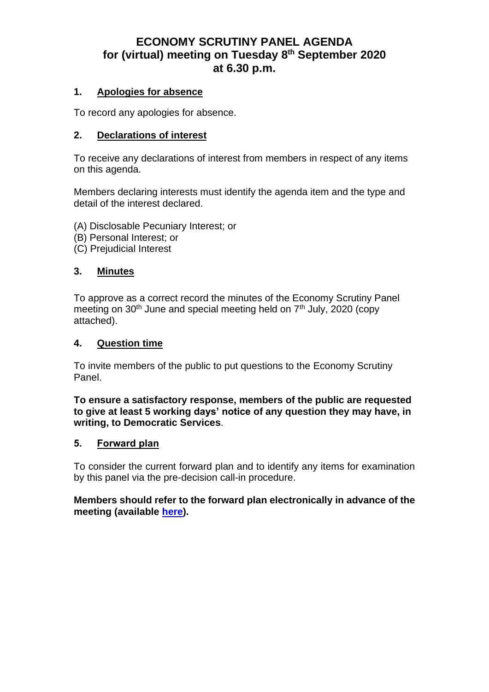# **ECONOMY SCRUTINY PANEL AGENDA for (virtual) meeting on Tuesday 8 th September 2020 at 6.30 p.m.**

#### **1. Apologies for absence**

To record any apologies for absence.

#### **2. Declarations of interest**

To receive any declarations of interest from members in respect of any items on this agenda.

Members declaring interests must identify the agenda item and the type and detail of the interest declared.

- (A) Disclosable Pecuniary Interest; or
- (B) Personal Interest; or
- (C) Prejudicial Interest

#### **3. Minutes**

To approve as a correct record the minutes of the Economy Scrutiny Panel meeting on  $30<sup>th</sup>$  June and special meeting held on  $7<sup>th</sup>$  July, 2020 (copy attached).

#### **4. Question time**

To invite members of the public to put questions to the Economy Scrutiny Panel.

#### **To ensure a satisfactory response, members of the public are requested to give at least 5 working days' notice of any question they may have, in writing, to Democratic Services**.

#### **5. Forward plan**

To consider the current forward plan and to identify any items for examination by this panel via the pre-decision call-in procedure.

**Members should refer to the forward plan electronically in advance of the meeting (available [here\)](https://www.nelincs.gov.uk/councillors-and-democracy/decision-making/cabinet/forward-plan-of-key-decisions/).**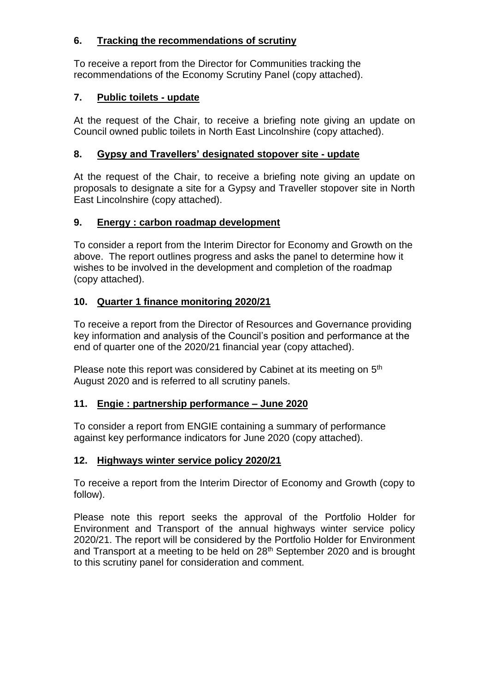# **6. Tracking the recommendations of scrutiny**

To receive a report from the Director for Communities tracking the recommendations of the Economy Scrutiny Panel (copy attached).

# **7. Public toilets - update**

At the request of the Chair, to receive a briefing note giving an update on Council owned public toilets in North East Lincolnshire (copy attached).

# **8. Gypsy and Travellers' designated stopover site - update**

At the request of the Chair, to receive a briefing note giving an update on proposals to designate a site for a Gypsy and Traveller stopover site in North East Lincolnshire (copy attached).

# **9. Energy : carbon roadmap development**

To consider a report from the Interim Director for Economy and Growth on the above. The report outlines progress and asks the panel to determine how it wishes to be involved in the development and completion of the roadmap (copy attached).

# **10. Quarter 1 finance monitoring 2020/21**

To receive a report from the Director of Resources and Governance providing key information and analysis of the Council's position and performance at the end of quarter one of the 2020/21 financial year (copy attached).

Please note this report was considered by Cabinet at its meeting on 5<sup>th</sup> August 2020 and is referred to all scrutiny panels.

# **11. Engie : partnership performance – June 2020**

To consider a report from ENGIE containing a summary of performance against key performance indicators for June 2020 (copy attached).

# **12. Highways winter service policy 2020/21**

To receive a report from the Interim Director of Economy and Growth (copy to follow).

Please note this report seeks the approval of the Portfolio Holder for Environment and Transport of the annual highways winter service policy 2020/21. The report will be considered by the Portfolio Holder for Environment and Transport at a meeting to be held on  $28<sup>th</sup>$  September 2020 and is brought to this scrutiny panel for consideration and comment.